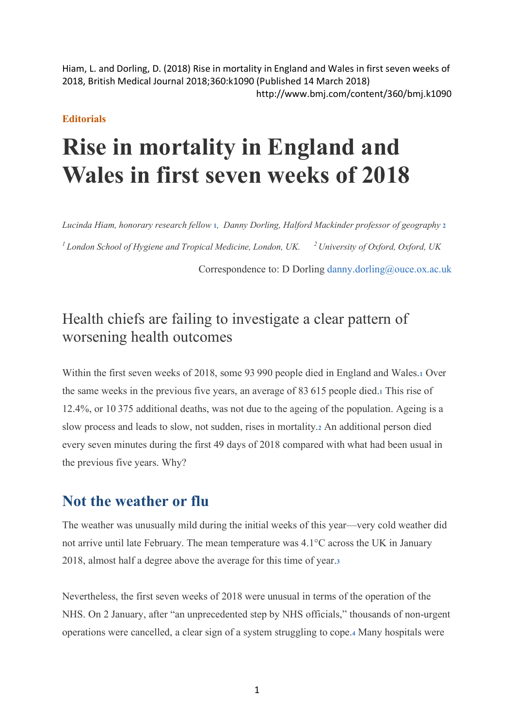Hiam, L. and Dorling, D. (2018) Rise in mortality in England and Wales in first seven weeks of 2018, British Medical Journal 2018;360:k1090 (Published 14 March 2018) http://www.bmj.com/content/360/bmj.k1090

#### **Editorials**

# **Rise in mortality in England and Wales in first seven weeks of 2018**

*Lucinda Hiam, honorary research fellow* **1***, Danny Dorling, Halford Mackinder professor of geography* **2** *<sup>1</sup> London School of Hygiene and Tropical Medicine, London, UK. <sup>2</sup> University of Oxford, Oxford, UK*

Correspondence to: D Dorling danny.dorling@ouce.ox.ac.uk

## Health chiefs are failing to investigate a clear pattern of worsening health outcomes

Within the first seven weeks of 2018, some 93 990 people died in England and Wales.**<sup>1</sup>** Over the same weeks in the previous five years, an average of 83 615 people died.**<sup>1</sup>** This rise of 12.4%, or 10 375 additional deaths, was not due to the ageing of the population. Ageing is a slow process and leads to slow, not sudden, rises in mortality.**<sup>2</sup>** An additional person died every seven minutes during the first 49 days of 2018 compared with what had been usual in the previous five years. Why?

#### **Not the weather or flu**

The weather was unusually mild during the initial weeks of this year—very cold weather did not arrive until late February. The mean temperature was 4.1°C across the UK in January 2018, almost half a degree above the average for this time of year.**<sup>3</sup>**

Nevertheless, the first seven weeks of 2018 were unusual in terms of the operation of the NHS. On 2 January, after "an unprecedented step by NHS officials," thousands of non-urgent operations were cancelled, a clear sign of a system struggling to cope.**<sup>4</sup>** Many hospitals were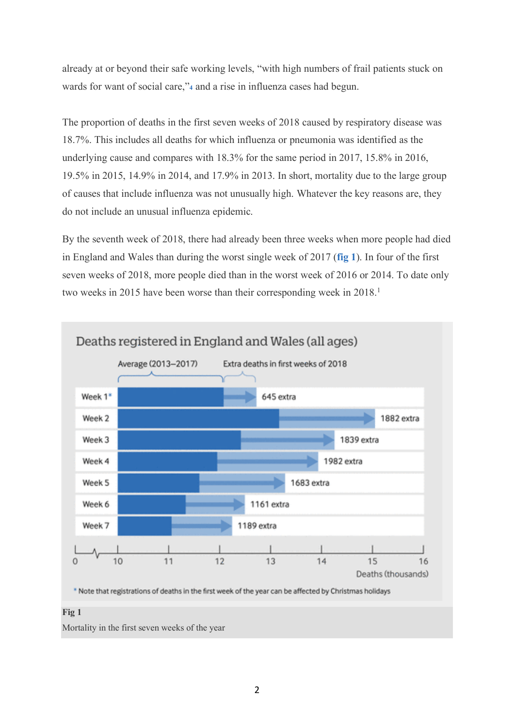already at or beyond their safe working levels, "with high numbers of frail patients stuck on wards for want of social care,"**<sup>4</sup>** and a rise in influenza cases had begun.

The proportion of deaths in the first seven weeks of 2018 caused by respiratory disease was 18.7%. This includes all deaths for which influenza or pneumonia was identified as the underlying cause and compares with 18.3% for the same period in 2017, 15.8% in 2016, 19.5% in 2015, 14.9% in 2014, and 17.9% in 2013. In short, mortality due to the large group of causes that include influenza was not unusually high. Whatever the key reasons are, they do not include an unusual influenza epidemic.

By the seventh week of 2018, there had already been three weeks when more people had died in England and Wales than during the worst single week of 2017 (**fig 1**). In four of the first seven weeks of 2018, more people died than in the worst week of 2016 or 2014. To date only two weeks in 2015 have been worse than their corresponding week in 2018.<sup>1</sup>

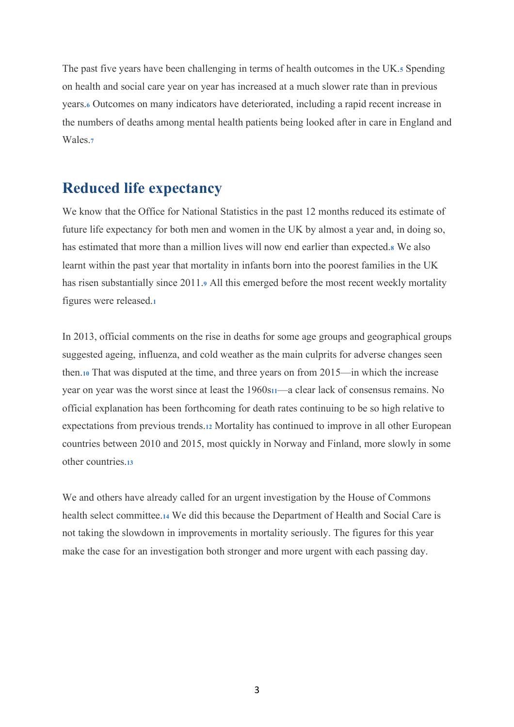The past five years have been challenging in terms of health outcomes in the UK.**<sup>5</sup>** Spending on health and social care year on year has increased at a much slower rate than in previous years.**<sup>6</sup>** Outcomes on many indicators have deteriorated, including a rapid recent increase in the numbers of deaths among mental health patients being looked after in care in England and Wales.**<sup>7</sup>**

### **Reduced life expectancy**

We know that the Office for National Statistics in the past 12 months reduced its estimate of future life expectancy for both men and women in the UK by almost a year and, in doing so, has estimated that more than a million lives will now end earlier than expected.**<sup>8</sup>** We also learnt within the past year that mortality in infants born into the poorest families in the UK has risen substantially since 2011.**<sup>9</sup>** All this emerged before the most recent weekly mortality figures were released.**<sup>1</sup>**

In 2013, official comments on the rise in deaths for some age groups and geographical groups suggested ageing, influenza, and cold weather as the main culprits for adverse changes seen then.**<sup>10</sup>** That was disputed at the time, and three years on from 2015—in which the increase year on year was the worst since at least the 1960s**11**—a clear lack of consensus remains. No official explanation has been forthcoming for death rates continuing to be so high relative to expectations from previous trends.**<sup>12</sup>** Mortality has continued to improve in all other European countries between 2010 and 2015, most quickly in Norway and Finland, more slowly in some other countries.**<sup>13</sup>**

We and others have already called for an urgent investigation by the House of Commons health select committee.**<sup>14</sup>** We did this because the Department of Health and Social Care is not taking the slowdown in improvements in mortality seriously. The figures for this year make the case for an investigation both stronger and more urgent with each passing day.